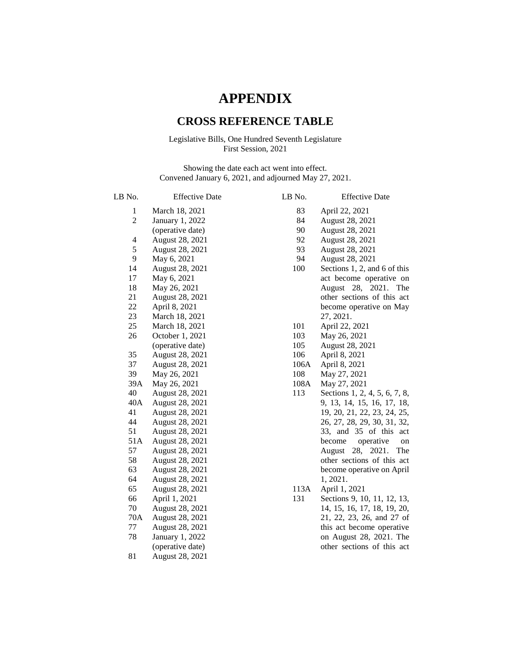# **APPENDIX**

## **CROSS REFERENCE TABLE**

### Legislative Bills, One Hundred Seventh Legislature First Session, 2021

Showing the date each act went into effect. Convened January 6, 2021, and adjourned May 27, 2021.

| LB No.         | <b>Effective Date</b> | LB No. | <b>Effective Date</b>         |
|----------------|-----------------------|--------|-------------------------------|
| $\mathbf{1}$   | March 18, 2021        | 83     | April 22, 2021                |
| $\overline{2}$ | January 1, 2022       | 84     | August 28, 2021               |
|                | (operative date)      | 90     | August 28, 2021               |
| 4              | August 28, 2021       | 92     | August 28, 2021               |
| 5              | August 28, 2021       | 93     | August 28, 2021               |
| 9              | May 6, 2021           | 94     | August 28, 2021               |
| 14             | August 28, 2021       | 100    | Sections 1, 2, and 6 of this  |
| 17             | May 6, 2021           |        | act become operative on       |
| 18             | May 26, 2021          |        | August 28, 2021.<br>The       |
| 21             | August 28, 2021       |        | other sections of this act    |
| 22             | April 8, 2021         |        | become operative on May       |
| 23             | March 18, 2021        |        | 27, 2021.                     |
| 25             | March 18, 2021        | 101    | April 22, 2021                |
| 26             | October 1, 2021       | 103    | May 26, 2021                  |
|                | (operative date)      | 105    | August 28, 2021               |
| 35             | August 28, 2021       | 106    | April 8, 2021                 |
| 37             | August 28, 2021       | 106A   | April 8, 2021                 |
| 39             | May 26, 2021          | 108    | May 27, 2021                  |
| 39A            | May 26, 2021          | 108A   | May 27, 2021                  |
| 40             | August 28, 2021       | 113    | Sections 1, 2, 4, 5, 6, 7, 8, |
| 40A            | August 28, 2021       |        | 9, 13, 14, 15, 16, 17, 18,    |
| 41             | August 28, 2021       |        | 19, 20, 21, 22, 23, 24, 25,   |
| 44             | August 28, 2021       |        | 26, 27, 28, 29, 30, 31, 32,   |
| 51             | August 28, 2021       |        | 33, and 35 of this<br>act     |
| 51A            | August 28, 2021       |        | operative<br>become<br>on     |
| 57             | August 28, 2021       |        | 28, 2021.<br>August<br>The    |
| 58             | August 28, 2021       |        | other sections of this act    |
| 63             | August 28, 2021       |        | become operative on April     |
| 64             | August 28, 2021       |        | 1, 2021.                      |
| 65             | August 28, 2021       | 113A   | April 1, 2021                 |
| 66             | April 1, 2021         | 131    | Sections 9, 10, 11, 12, 13,   |
| 70             | August 28, 2021       |        | 14, 15, 16, 17, 18, 19, 20,   |
| 70A            | August 28, 2021       |        | 21, 22, 23, 26, and 27 of     |
| 77             | August 28, 2021       |        | this act become operative     |
| 78             | January 1, 2022       |        | on August 28, 2021. The       |
|                | (operative date)      |        | other sections of this act    |
| 81             | August 28, 2021       |        |                               |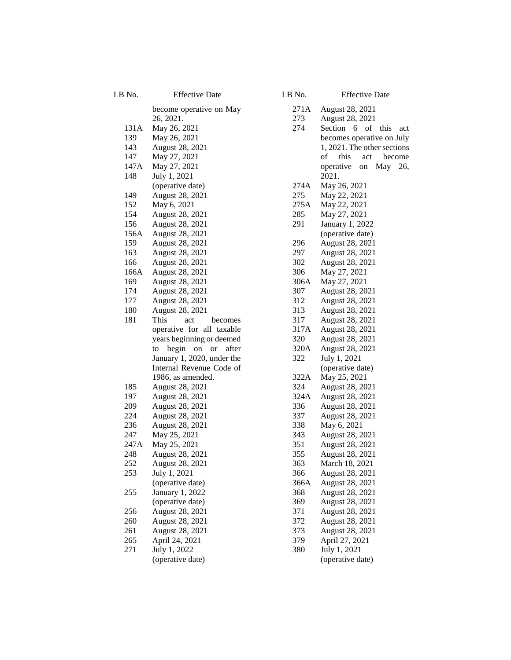| LB No.     | <b>Effective Date</b>                       |
|------------|---------------------------------------------|
|            | become operative on May                     |
|            | 26, 2021.                                   |
| 131A       | May 26, 2021                                |
| 139        | May 26, 2021                                |
| 143        | August 28, 2021                             |
| 147        | May 27, 2021                                |
| 147A       | May 27, 2021                                |
| 148        | July 1, 2021                                |
|            | (operative date)                            |
| 149        | August 28, 2021                             |
| 152        | May 6, 2021                                 |
| 154        | August 28, 2021                             |
| 156        | August 28, 2021                             |
| 156A       | August 28, 2021                             |
| 159        | August 28, 2021                             |
| 163<br>166 | August 28, 2021<br>August 28, 2021          |
| 166A       | August 28, 2021                             |
| 169        | August 28, 2021                             |
| 174        | August 28, 2021                             |
| 177        | August 28, 2021                             |
| 180        | August 28, 2021                             |
| 181        | This<br>act<br>becomes                      |
|            | operative for all taxable                   |
|            | years beginning or deemed                   |
|            | begin<br>after<br>to<br>on<br><sub>or</sub> |
|            | January 1, 2020, under the                  |
|            | Internal Revenue Code of                    |
|            | 1986, as amended.                           |
| 185        | August 28, 2021                             |
| 197        | August 28, 2021                             |
| 209        | August 28, 2021                             |
| 224        | August 28, 2021                             |
| 236        | August 28, 2021                             |
| 247        | May 25, 2021                                |
| 247A       | May 25, 2021                                |
| 248        | August 28, 2021                             |
| 252        | August 28, 2021                             |
| 253        | July 1, 2021                                |
|            | (operative date)                            |
| 255        | January 1, 2022                             |
|            | (operative date)                            |
| 256        | August 28, 2021                             |
| 260        | August 28, 2021                             |
| 261        | August 28, 2021                             |
| 265        | April 24, 2021                              |
| 271        | July 1, 2022                                |
|            | (operative date)                            |

| LB No. | <b>Effective Date</b>         |
|--------|-------------------------------|
| 271A   | August 28, 2021               |
| 273    | August 28, 2021               |
| 274    | Section 6 of this<br>act      |
|        | becomes operative on July     |
|        | 1, 2021. The other sections   |
|        | of<br>this<br>act<br>become   |
|        | operative<br>May<br>26,<br>on |
|        | 2021.                         |
| 274A   | May 26, 2021                  |
| 275    | May 22, 2021                  |
| 275A   | May 22, 2021                  |
| 285    | May 27, 2021                  |
| 291    | January 1, 2022               |
|        | (operative date)              |
| 296    | August 28, 2021               |
| 297    | August 28, 2021               |
| 302    | August 28, 2021               |
| 306    | May 27, 2021                  |
| 306A   | May 27, 2021                  |
| 307    | August 28, 2021               |
| 312    | August 28, 2021               |
| 313    | August 28, 2021               |
| 317    | August 28, 2021               |
| 317A   | August 28, 2021               |
| 320    | August 28, 2021               |
| 320A   | August 28, 2021               |
| 322    | July 1, 2021                  |
|        | (operative date)              |
| 322A   | May 25, 2021                  |
| 324    | August 28, 2021               |
| 324A   | August 28, 2021               |
| 336    | August 28, 2021               |
| 337    | August 28, 2021               |
| 338    | May 6, 2021                   |
| 343    | August 28, 2021               |
| 351    | August 28, 2021               |
| 355    | August 28, 2021               |
| 363    | March 18, 2021                |
| 366    | August 28, 2021               |
| 366A   | August 28, 2021               |
| 368    | August 28, 2021               |
| 369    | August 28, 2021               |
| 371    | August 28, 2021               |
| 372    | August 28, 2021               |
| 373    | August 28, 2021               |
| 379    | April 27, 2021                |
| 380    | July 1, 2021                  |
|        | (operative date)              |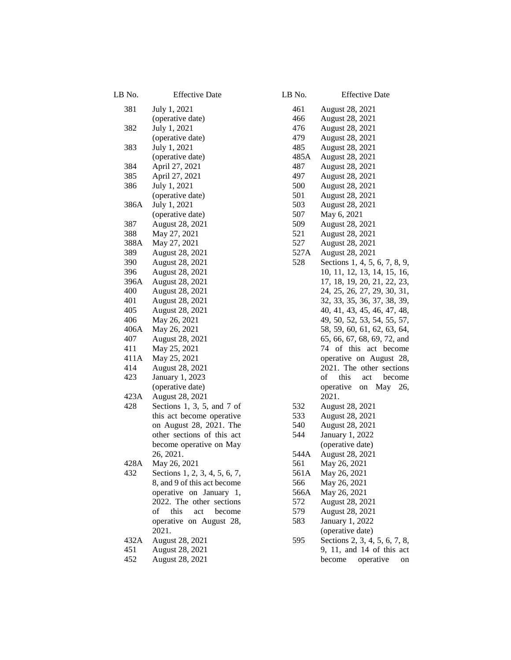| LB No. | <b>Effective Date</b>                               | LB No.      | Effectiv                     |
|--------|-----------------------------------------------------|-------------|------------------------------|
| 381    | July 1, 2021                                        | 461         | <b>August 28, 20</b>         |
|        | (operative date)                                    | 466         | <b>August 28, 20</b>         |
| 382    | July 1, 2021                                        | 476         | <b>August 28, 20</b>         |
|        | (operative date)                                    | 479         | <b>August 28, 20</b>         |
| 383    | July 1, 2021                                        | 485         | <b>August 28, 20</b>         |
|        | (operative date)                                    | 485A        | August 28, 20                |
| 384    | April 27, 2021                                      | 487         | August 28, 20                |
| 385    | April 27, 2021                                      | 497         | <b>August 28, 20</b>         |
| 386    | July 1, 2021                                        | 500         | <b>August 28, 20</b>         |
|        | (operative date)                                    | 501         | <b>August 28, 20</b>         |
| 386A   | July 1, 2021                                        | 503         | <b>August 28, 20</b>         |
|        | (operative date)                                    | 507         | May 6, 2021                  |
| 387    | August 28, 2021                                     | 509         | <b>August 28, 20</b>         |
| 388    | May 27, 2021                                        | 521         | <b>August 28, 20</b>         |
| 388A   | May 27, 2021                                        | 527         | <b>August 28, 20</b>         |
| 389    | August 28, 2021                                     | 527A        | <b>August 28, 20</b>         |
| 390    | August 28, 2021                                     | 528         | Sections 1, 4,               |
| 396    | August 28, 2021                                     |             | 10, 11, 12, 13               |
| 396A   | August 28, 2021                                     |             | 17, 18, 19, 20               |
| 400    | August 28, 2021                                     |             | 24, 25, 26, 27               |
| 401    | August 28, 2021                                     |             | 32, 33, 35, 36               |
| 405    | August 28, 2021                                     |             | 40, 41, 43, 45               |
| 406    | May 26, 2021                                        |             | 49, 50, 52, 53               |
| 406A   | May 26, 2021                                        |             | 58, 59, 60, 61               |
| 407    | August 28, 2021                                     |             | 65, 66, 67, 68               |
| 411    | May 25, 2021                                        |             | 74 of this                   |
| 411A   | May 25, 2021                                        |             | operative on                 |
| 414    | August 28, 2021                                     |             | 2021. The ot                 |
| 423    | January 1, 2023                                     |             | of<br>this<br>a              |
|        | (operative date)                                    |             | operative<br>on              |
| 423A   | August 28, 2021                                     |             | 2021.                        |
| 428    | Sections 1, 3, 5, and 7 of                          | 532         | August 28, 20                |
|        | this act become operative                           | 533         | <b>August 28, 20</b>         |
|        | on August 28, 2021. The                             | 540         | <b>August 28, 20</b>         |
|        | other sections of this act                          | 544         | January 1, 202               |
|        | become operative on May                             |             | (operative dat               |
|        | 26, 2021.                                           | 544A        | <b>August 28, 20</b>         |
| 428A   | May 26, 2021                                        |             |                              |
| 432    | Sections 1, 2, 3, 4, 5, 6, 7,                       | 561<br>561A | May 26, 2021<br>May 26, 2021 |
|        |                                                     | 566         |                              |
|        | 8, and 9 of this act become                         |             | May 26, 2021                 |
|        | operative on January 1,<br>2022. The other sections | 566A<br>572 | May 26, 2021                 |
|        | this                                                |             | <b>August 28, 20</b>         |
|        | of<br>become<br>act                                 | 579         | <b>August 28, 20</b>         |
|        | operative on August 28,                             | 583         | January 1, 202               |
|        | 2021.                                               |             | (operative dat               |
| 432A   | August 28, 2021                                     | 595         | Sections 2, 3,               |
| 451    | August 28, 2021                                     |             | 9, 11, and $14$              |
| 452    | August 28, 2021                                     |             | become<br>op                 |

| No.                                                                                                                   | <b>Effective Date</b>                                                                                                                                                                                                                                                                                                                                                                                                                                                                                                                                                                                                                                                                                         |
|-----------------------------------------------------------------------------------------------------------------------|---------------------------------------------------------------------------------------------------------------------------------------------------------------------------------------------------------------------------------------------------------------------------------------------------------------------------------------------------------------------------------------------------------------------------------------------------------------------------------------------------------------------------------------------------------------------------------------------------------------------------------------------------------------------------------------------------------------|
| 461<br>466<br>476<br>479<br>485<br>485A<br>487<br>497<br>500<br>501<br>503<br>507<br>509<br>521<br>527<br>527A<br>528 | August 28, 2021<br>August 28, 2021<br>August 28, 2021<br>August 28, 2021<br>August 28, 2021<br>August 28, 2021<br>August 28, 2021<br>August 28, 2021<br>August 28, 2021<br>August 28, 2021<br>August 28, 2021<br>May 6, 2021<br>August 28, 2021<br>August 28, 2021<br>August 28, 2021<br>August 28, 2021<br>Sections 1, 4, 5, 6, 7, 8, 9,<br>10, 11, 12, 13, 14, 15, 16,<br>17, 18, 19, 20, 21, 22, 23,<br>24, 25, 26, 27, 29, 30, 31,<br>32, 33, 35, 36, 37, 38, 39,<br>40, 41, 43, 45, 46, 47, 48,<br>49, 50, 52, 53, 54, 55, 57,<br>58, 59, 60, 61, 62, 63, 64,<br>65, 66, 67, 68, 69, 72, and<br>74 of this act become<br>operative on August 28,<br>2021. The other sections<br>of<br>this<br>act become |
|                                                                                                                       | operative on May 26,<br>2021.                                                                                                                                                                                                                                                                                                                                                                                                                                                                                                                                                                                                                                                                                 |
| 532<br>533<br>540<br>544<br>544A<br>561<br>561A<br>566<br>566A<br>572<br>579<br>583                                   | August 28, 2021<br>August 28, 2021<br>August 28, 2021<br>January 1, 2022<br>(operative date)<br>August 28, 2021<br>May 26, 2021<br>May 26, 2021<br>May 26, 2021<br>May 26, 2021<br>August 28, 2021<br>August 28, 2021<br>January 1, 2022                                                                                                                                                                                                                                                                                                                                                                                                                                                                      |
| 595                                                                                                                   | (operative date)<br>Sections 2, 3, 4, 5, 6, 7, 8,<br>9, 11, and 14 of this act<br>become<br>operative<br>on                                                                                                                                                                                                                                                                                                                                                                                                                                                                                                                                                                                                   |